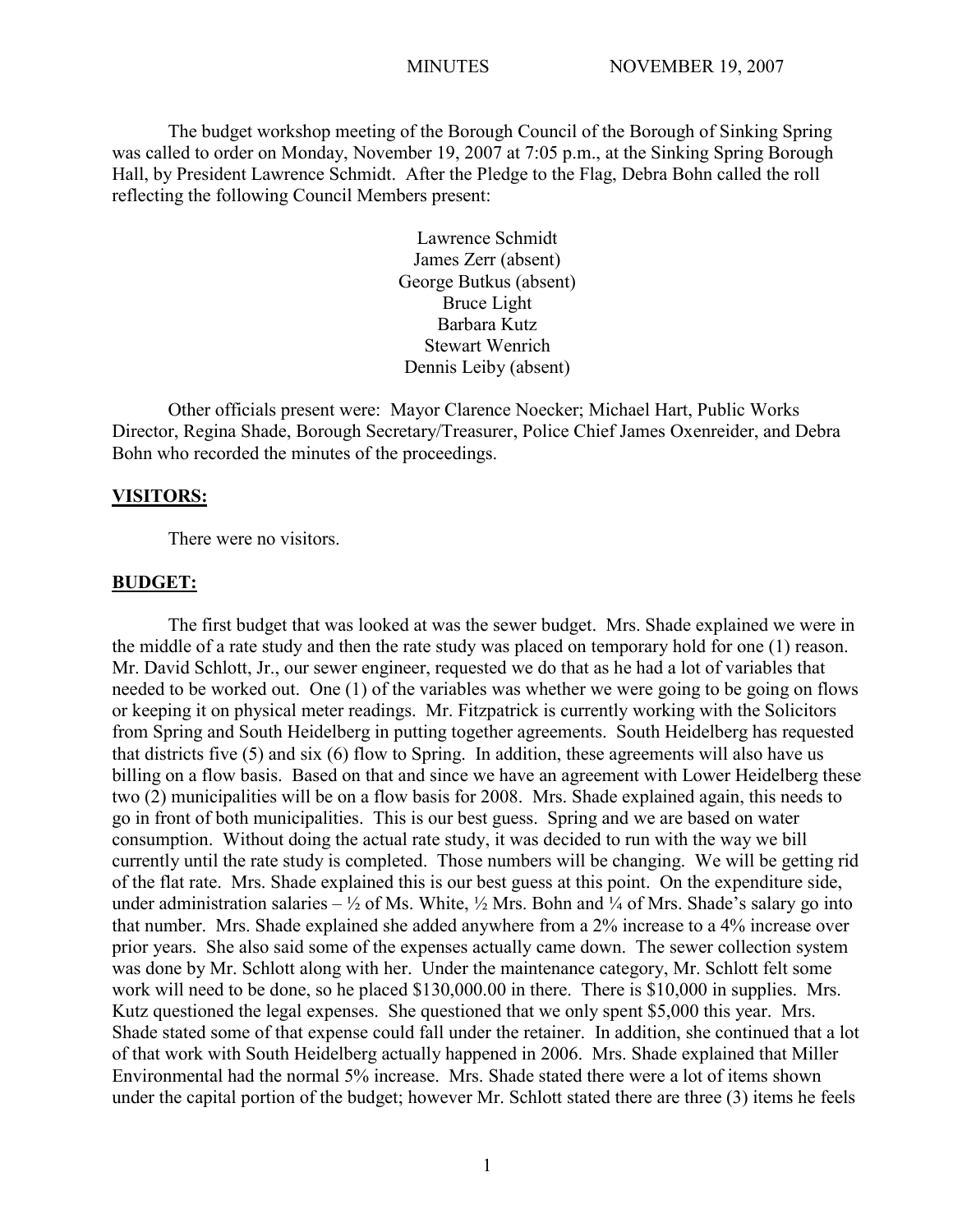The budget workshop meeting of the Borough Council of the Borough of Sinking Spring was called to order on Monday, November 19, 2007 at 7:05 p.m., at the Sinking Spring Borough Hall, by President Lawrence Schmidt. After the Pledge to the Flag, Debra Bohn called the roll reflecting the following Council Members present:

> Lawrence Schmidt James Zerr (absent) George Butkus (absent) Bruce Light Barbara Kutz Stewart Wenrich Dennis Leiby (absent)

Other officials present were: Mayor Clarence Noecker; Michael Hart, Public Works Director, Regina Shade, Borough Secretary/Treasurer, Police Chief James Oxenreider, and Debra Bohn who recorded the minutes of the proceedings.

#### **VISITORS:**

There were no visitors.

## **BUDGET:**

The first budget that was looked at was the sewer budget. Mrs. Shade explained we were in the middle of a rate study and then the rate study was placed on temporary hold for one (1) reason. Mr. David Schlott, Jr., our sewer engineer, requested we do that as he had a lot of variables that needed to be worked out. One (1) of the variables was whether we were going to be going on flows or keeping it on physical meter readings. Mr. Fitzpatrick is currently working with the Solicitors from Spring and South Heidelberg in putting together agreements. South Heidelberg has requested that districts five (5) and six (6) flow to Spring. In addition, these agreements will also have us billing on a flow basis. Based on that and since we have an agreement with Lower Heidelberg these two (2) municipalities will be on a flow basis for 2008. Mrs. Shade explained again, this needs to go in front of both municipalities. This is our best guess. Spring and we are based on water consumption. Without doing the actual rate study, it was decided to run with the way we bill currently until the rate study is completed. Those numbers will be changing. We will be getting rid of the flat rate. Mrs. Shade explained this is our best guess at this point. On the expenditure side, under administration salaries –  $\frac{1}{2}$  of Ms. White,  $\frac{1}{2}$  Mrs. Bohn and  $\frac{1}{4}$  of Mrs. Shade's salary go into that number. Mrs. Shade explained she added anywhere from a 2% increase to a 4% increase over prior years. She also said some of the expenses actually came down. The sewer collection system was done by Mr. Schlott along with her. Under the maintenance category, Mr. Schlott felt some work will need to be done, so he placed \$130,000.00 in there. There is \$10,000 in supplies. Mrs. Kutz questioned the legal expenses. She questioned that we only spent \$5,000 this year. Mrs. Shade stated some of that expense could fall under the retainer. In addition, she continued that a lot of that work with South Heidelberg actually happened in 2006. Mrs. Shade explained that Miller Environmental had the normal 5% increase. Mrs. Shade stated there were a lot of items shown under the capital portion of the budget; however Mr. Schlott stated there are three (3) items he feels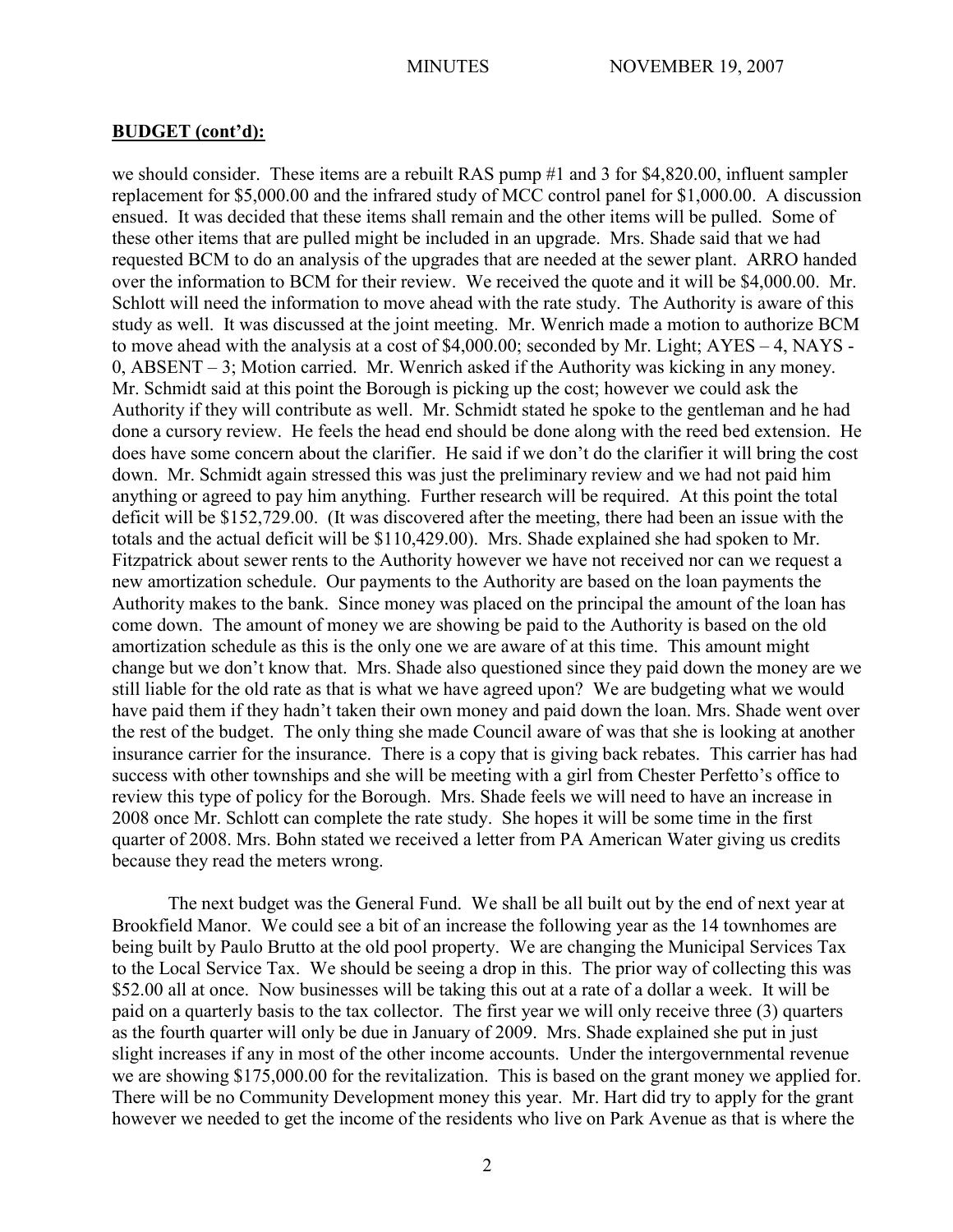we should consider. These items are a rebuilt RAS pump #1 and 3 for \$4,820.00, influent sampler replacement for \$5,000.00 and the infrared study of MCC control panel for \$1,000.00. A discussion ensued. It was decided that these items shall remain and the other items will be pulled. Some of these other items that are pulled might be included in an upgrade. Mrs. Shade said that we had requested BCM to do an analysis of the upgrades that are needed at the sewer plant. ARRO handed over the information to BCM for their review. We received the quote and it will be \$4,000.00. Mr. Schlott will need the information to move ahead with the rate study. The Authority is aware of this study as well. It was discussed at the joint meeting. Mr. Wenrich made a motion to authorize BCM to move ahead with the analysis at a cost of \$4,000.00; seconded by Mr. Light; AYES – 4, NAYS - 0, ABSENT – 3; Motion carried. Mr. Wenrich asked if the Authority was kicking in any money. Mr. Schmidt said at this point the Borough is picking up the cost; however we could ask the Authority if they will contribute as well. Mr. Schmidt stated he spoke to the gentleman and he had done a cursory review. He feels the head end should be done along with the reed bed extension. He does have some concern about the clarifier. He said if we don't do the clarifier it will bring the cost down. Mr. Schmidt again stressed this was just the preliminary review and we had not paid him anything or agreed to pay him anything. Further research will be required. At this point the total deficit will be \$152,729.00. (It was discovered after the meeting, there had been an issue with the totals and the actual deficit will be \$110,429.00). Mrs. Shade explained she had spoken to Mr. Fitzpatrick about sewer rents to the Authority however we have not received nor can we request a new amortization schedule. Our payments to the Authority are based on the loan payments the Authority makes to the bank. Since money was placed on the principal the amount of the loan has come down. The amount of money we are showing be paid to the Authority is based on the old amortization schedule as this is the only one we are aware of at this time. This amount might change but we don't know that. Mrs. Shade also questioned since they paid down the money are we still liable for the old rate as that is what we have agreed upon? We are budgeting what we would have paid them if they hadn't taken their own money and paid down the loan. Mrs. Shade went over the rest of the budget. The only thing she made Council aware of was that she is looking at another insurance carrier for the insurance. There is a copy that is giving back rebates. This carrier has had success with other townships and she will be meeting with a girl from Chester Perfetto's office to review this type of policy for the Borough. Mrs. Shade feels we will need to have an increase in 2008 once Mr. Schlott can complete the rate study. She hopes it will be some time in the first quarter of 2008. Mrs. Bohn stated we received a letter from PA American Water giving us credits because they read the meters wrong.

The next budget was the General Fund. We shall be all built out by the end of next year at Brookfield Manor. We could see a bit of an increase the following year as the 14 townhomes are being built by Paulo Brutto at the old pool property. We are changing the Municipal Services Tax to the Local Service Tax. We should be seeing a drop in this. The prior way of collecting this was \$52.00 all at once. Now businesses will be taking this out at a rate of a dollar a week. It will be paid on a quarterly basis to the tax collector. The first year we will only receive three (3) quarters as the fourth quarter will only be due in January of 2009. Mrs. Shade explained she put in just slight increases if any in most of the other income accounts. Under the intergovernmental revenue we are showing \$175,000.00 for the revitalization. This is based on the grant money we applied for. There will be no Community Development money this year. Mr. Hart did try to apply for the grant however we needed to get the income of the residents who live on Park Avenue as that is where the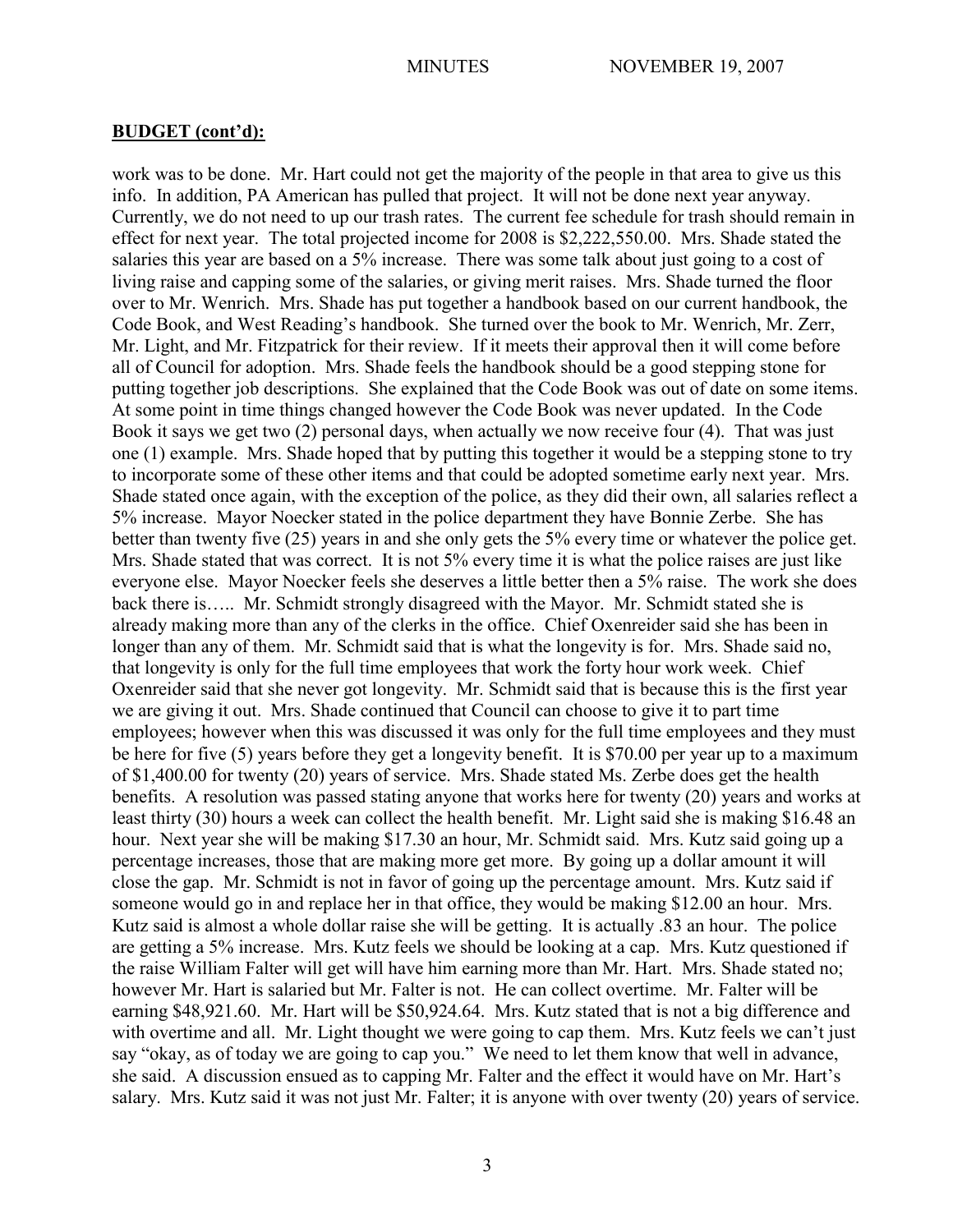work was to be done. Mr. Hart could not get the majority of the people in that area to give us this info. In addition, PA American has pulled that project. It will not be done next year anyway. Currently, we do not need to up our trash rates. The current fee schedule for trash should remain in effect for next year. The total projected income for 2008 is \$2,222,550.00. Mrs. Shade stated the salaries this year are based on a 5% increase. There was some talk about just going to a cost of living raise and capping some of the salaries, or giving merit raises. Mrs. Shade turned the floor over to Mr. Wenrich. Mrs. Shade has put together a handbook based on our current handbook, the Code Book, and West Reading's handbook. She turned over the book to Mr. Wenrich, Mr. Zerr, Mr. Light, and Mr. Fitzpatrick for their review. If it meets their approval then it will come before all of Council for adoption. Mrs. Shade feels the handbook should be a good stepping stone for putting together job descriptions. She explained that the Code Book was out of date on some items. At some point in time things changed however the Code Book was never updated. In the Code Book it says we get two (2) personal days, when actually we now receive four (4). That was just one (1) example. Mrs. Shade hoped that by putting this together it would be a stepping stone to try to incorporate some of these other items and that could be adopted sometime early next year. Mrs. Shade stated once again, with the exception of the police, as they did their own, all salaries reflect a 5% increase. Mayor Noecker stated in the police department they have Bonnie Zerbe. She has better than twenty five (25) years in and she only gets the 5% every time or whatever the police get. Mrs. Shade stated that was correct. It is not 5% every time it is what the police raises are just like everyone else. Mayor Noecker feels she deserves a little better then a 5% raise. The work she does back there is….. Mr. Schmidt strongly disagreed with the Mayor. Mr. Schmidt stated she is already making more than any of the clerks in the office. Chief Oxenreider said she has been in longer than any of them. Mr. Schmidt said that is what the longevity is for. Mrs. Shade said no, that longevity is only for the full time employees that work the forty hour work week. Chief Oxenreider said that she never got longevity. Mr. Schmidt said that is because this is the first year we are giving it out. Mrs. Shade continued that Council can choose to give it to part time employees; however when this was discussed it was only for the full time employees and they must be here for five (5) years before they get a longevity benefit. It is \$70.00 per year up to a maximum of \$1,400.00 for twenty (20) years of service. Mrs. Shade stated Ms. Zerbe does get the health benefits. A resolution was passed stating anyone that works here for twenty (20) years and works at least thirty (30) hours a week can collect the health benefit. Mr. Light said she is making \$16.48 an hour. Next year she will be making \$17.30 an hour, Mr. Schmidt said. Mrs. Kutz said going up a percentage increases, those that are making more get more. By going up a dollar amount it will close the gap. Mr. Schmidt is not in favor of going up the percentage amount. Mrs. Kutz said if someone would go in and replace her in that office, they would be making \$12.00 an hour. Mrs. Kutz said is almost a whole dollar raise she will be getting. It is actually .83 an hour. The police are getting a 5% increase. Mrs. Kutz feels we should be looking at a cap. Mrs. Kutz questioned if the raise William Falter will get will have him earning more than Mr. Hart. Mrs. Shade stated no; however Mr. Hart is salaried but Mr. Falter is not. He can collect overtime. Mr. Falter will be earning \$48,921.60. Mr. Hart will be \$50,924.64. Mrs. Kutz stated that is not a big difference and with overtime and all. Mr. Light thought we were going to cap them. Mrs. Kutz feels we can't just say "okay, as of today we are going to cap you." We need to let them know that well in advance, she said. A discussion ensued as to capping Mr. Falter and the effect it would have on Mr. Hart's salary. Mrs. Kutz said it was not just Mr. Falter; it is anyone with over twenty (20) years of service.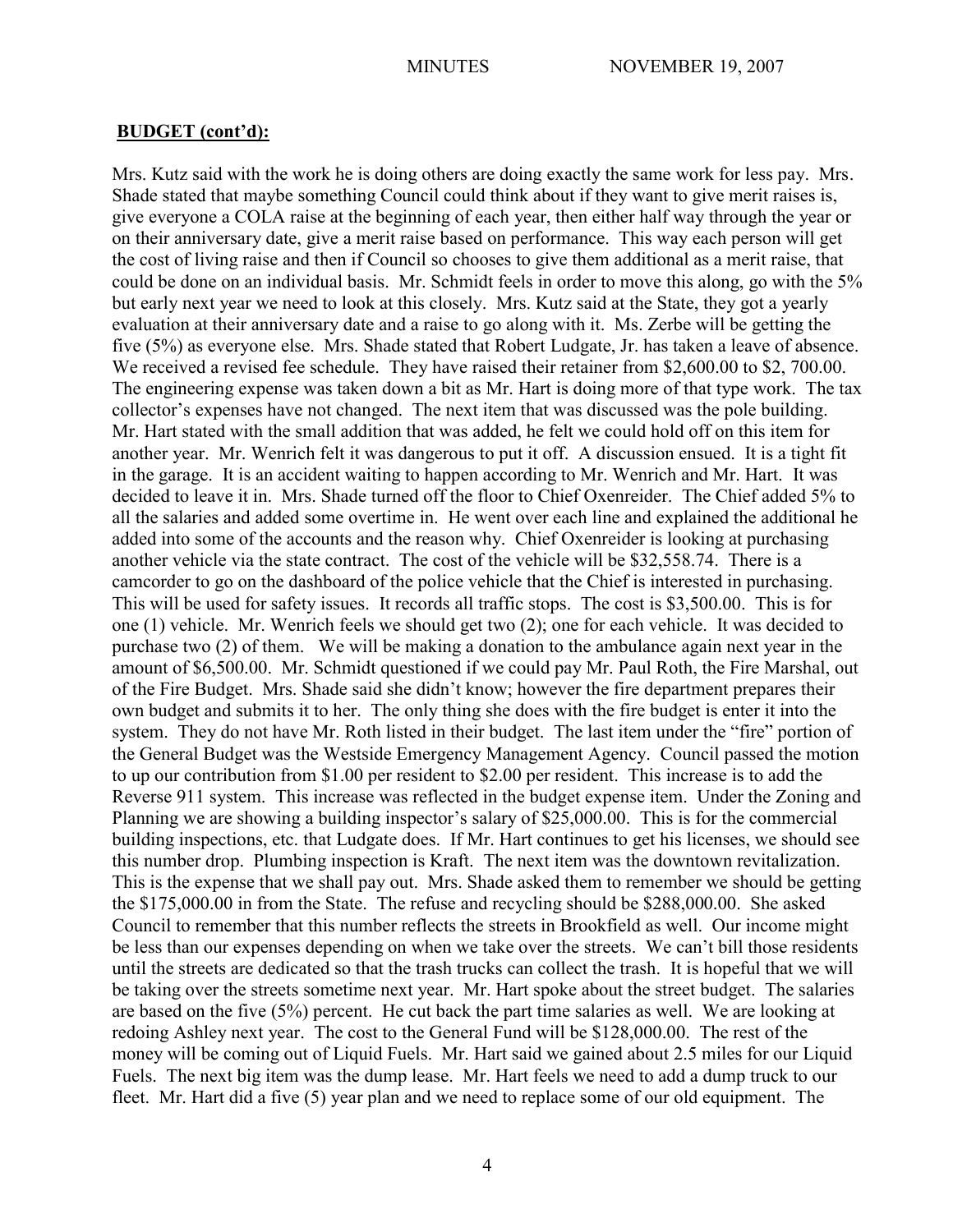Mrs. Kutz said with the work he is doing others are doing exactly the same work for less pay. Mrs. Shade stated that maybe something Council could think about if they want to give merit raises is, give everyone a COLA raise at the beginning of each year, then either half way through the year or on their anniversary date, give a merit raise based on performance. This way each person will get the cost of living raise and then if Council so chooses to give them additional as a merit raise, that could be done on an individual basis. Mr. Schmidt feels in order to move this along, go with the 5% but early next year we need to look at this closely. Mrs. Kutz said at the State, they got a yearly evaluation at their anniversary date and a raise to go along with it. Ms. Zerbe will be getting the five (5%) as everyone else. Mrs. Shade stated that Robert Ludgate, Jr. has taken a leave of absence. We received a revised fee schedule. They have raised their retainer from \$2,600.00 to \$2, 700.00. The engineering expense was taken down a bit as Mr. Hart is doing more of that type work. The tax collector's expenses have not changed. The next item that was discussed was the pole building. Mr. Hart stated with the small addition that was added, he felt we could hold off on this item for another year. Mr. Wenrich felt it was dangerous to put it off. A discussion ensued. It is a tight fit in the garage. It is an accident waiting to happen according to Mr. Wenrich and Mr. Hart. It was decided to leave it in. Mrs. Shade turned off the floor to Chief Oxenreider. The Chief added 5% to all the salaries and added some overtime in. He went over each line and explained the additional he added into some of the accounts and the reason why. Chief Oxenreider is looking at purchasing another vehicle via the state contract. The cost of the vehicle will be \$32,558.74. There is a camcorder to go on the dashboard of the police vehicle that the Chief is interested in purchasing. This will be used for safety issues. It records all traffic stops. The cost is \$3,500.00. This is for one (1) vehicle. Mr. Wenrich feels we should get two (2); one for each vehicle. It was decided to purchase two (2) of them. We will be making a donation to the ambulance again next year in the amount of \$6,500.00. Mr. Schmidt questioned if we could pay Mr. Paul Roth, the Fire Marshal, out of the Fire Budget. Mrs. Shade said she didn't know; however the fire department prepares their own budget and submits it to her. The only thing she does with the fire budget is enter it into the system. They do not have Mr. Roth listed in their budget. The last item under the "fire" portion of the General Budget was the Westside Emergency Management Agency. Council passed the motion to up our contribution from \$1.00 per resident to \$2.00 per resident. This increase is to add the Reverse 911 system. This increase was reflected in the budget expense item. Under the Zoning and Planning we are showing a building inspector's salary of \$25,000.00. This is for the commercial building inspections, etc. that Ludgate does. If Mr. Hart continues to get his licenses, we should see this number drop. Plumbing inspection is Kraft. The next item was the downtown revitalization. This is the expense that we shall pay out. Mrs. Shade asked them to remember we should be getting the \$175,000.00 in from the State. The refuse and recycling should be \$288,000.00. She asked Council to remember that this number reflects the streets in Brookfield as well. Our income might be less than our expenses depending on when we take over the streets. We can't bill those residents until the streets are dedicated so that the trash trucks can collect the trash. It is hopeful that we will be taking over the streets sometime next year. Mr. Hart spoke about the street budget. The salaries are based on the five (5%) percent. He cut back the part time salaries as well. We are looking at redoing Ashley next year. The cost to the General Fund will be \$128,000.00. The rest of the money will be coming out of Liquid Fuels. Mr. Hart said we gained about 2.5 miles for our Liquid Fuels. The next big item was the dump lease. Mr. Hart feels we need to add a dump truck to our fleet. Mr. Hart did a five (5) year plan and we need to replace some of our old equipment. The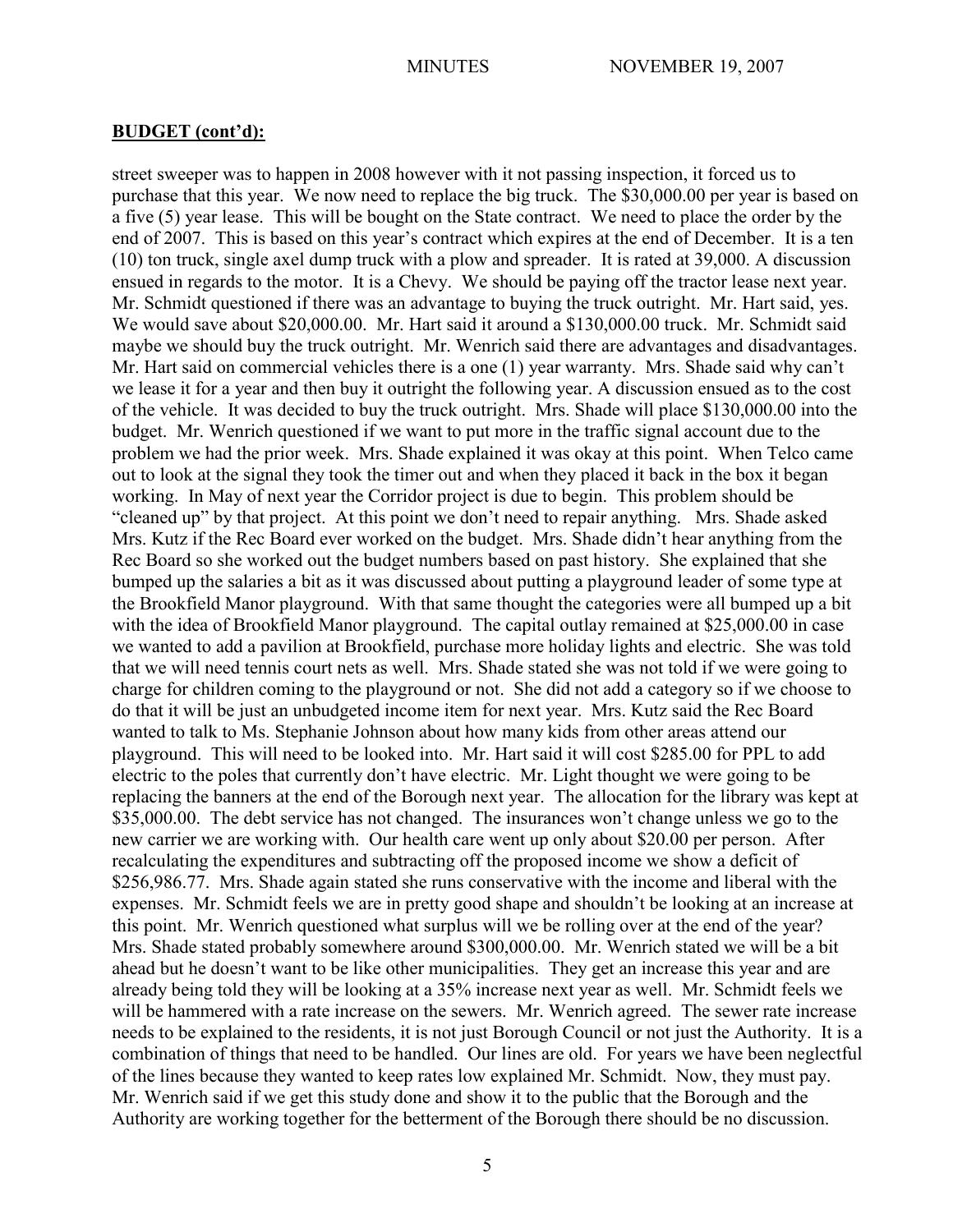street sweeper was to happen in 2008 however with it not passing inspection, it forced us to purchase that this year. We now need to replace the big truck. The \$30,000.00 per year is based on a five (5) year lease. This will be bought on the State contract. We need to place the order by the end of 2007. This is based on this year's contract which expires at the end of December. It is a ten (10) ton truck, single axel dump truck with a plow and spreader. It is rated at 39,000. A discussion ensued in regards to the motor. It is a Chevy. We should be paying off the tractor lease next year. Mr. Schmidt questioned if there was an advantage to buying the truck outright. Mr. Hart said, yes. We would save about \$20,000.00. Mr. Hart said it around a \$130,000.00 truck. Mr. Schmidt said maybe we should buy the truck outright. Mr. Wenrich said there are advantages and disadvantages. Mr. Hart said on commercial vehicles there is a one (1) year warranty. Mrs. Shade said why can't we lease it for a year and then buy it outright the following year. A discussion ensued as to the cost of the vehicle. It was decided to buy the truck outright. Mrs. Shade will place \$130,000.00 into the budget. Mr. Wenrich questioned if we want to put more in the traffic signal account due to the problem we had the prior week. Mrs. Shade explained it was okay at this point. When Telco came out to look at the signal they took the timer out and when they placed it back in the box it began working. In May of next year the Corridor project is due to begin. This problem should be "cleaned up" by that project. At this point we don't need to repair anything. Mrs. Shade asked Mrs. Kutz if the Rec Board ever worked on the budget. Mrs. Shade didn't hear anything from the Rec Board so she worked out the budget numbers based on past history. She explained that she bumped up the salaries a bit as it was discussed about putting a playground leader of some type at the Brookfield Manor playground. With that same thought the categories were all bumped up a bit with the idea of Brookfield Manor playground. The capital outlay remained at \$25,000.00 in case we wanted to add a pavilion at Brookfield, purchase more holiday lights and electric. She was told that we will need tennis court nets as well. Mrs. Shade stated she was not told if we were going to charge for children coming to the playground or not. She did not add a category so if we choose to do that it will be just an unbudgeted income item for next year. Mrs. Kutz said the Rec Board wanted to talk to Ms. Stephanie Johnson about how many kids from other areas attend our playground. This will need to be looked into. Mr. Hart said it will cost \$285.00 for PPL to add electric to the poles that currently don't have electric. Mr. Light thought we were going to be replacing the banners at the end of the Borough next year. The allocation for the library was kept at \$35,000.00. The debt service has not changed. The insurances won't change unless we go to the new carrier we are working with. Our health care went up only about \$20.00 per person. After recalculating the expenditures and subtracting off the proposed income we show a deficit of \$256,986.77. Mrs. Shade again stated she runs conservative with the income and liberal with the expenses. Mr. Schmidt feels we are in pretty good shape and shouldn't be looking at an increase at this point. Mr. Wenrich questioned what surplus will we be rolling over at the end of the year? Mrs. Shade stated probably somewhere around \$300,000.00. Mr. Wenrich stated we will be a bit ahead but he doesn't want to be like other municipalities. They get an increase this year and are already being told they will be looking at a 35% increase next year as well. Mr. Schmidt feels we will be hammered with a rate increase on the sewers. Mr. Wenrich agreed. The sewer rate increase needs to be explained to the residents, it is not just Borough Council or not just the Authority. It is a combination of things that need to be handled. Our lines are old. For years we have been neglectful of the lines because they wanted to keep rates low explained Mr. Schmidt. Now, they must pay. Mr. Wenrich said if we get this study done and show it to the public that the Borough and the Authority are working together for the betterment of the Borough there should be no discussion.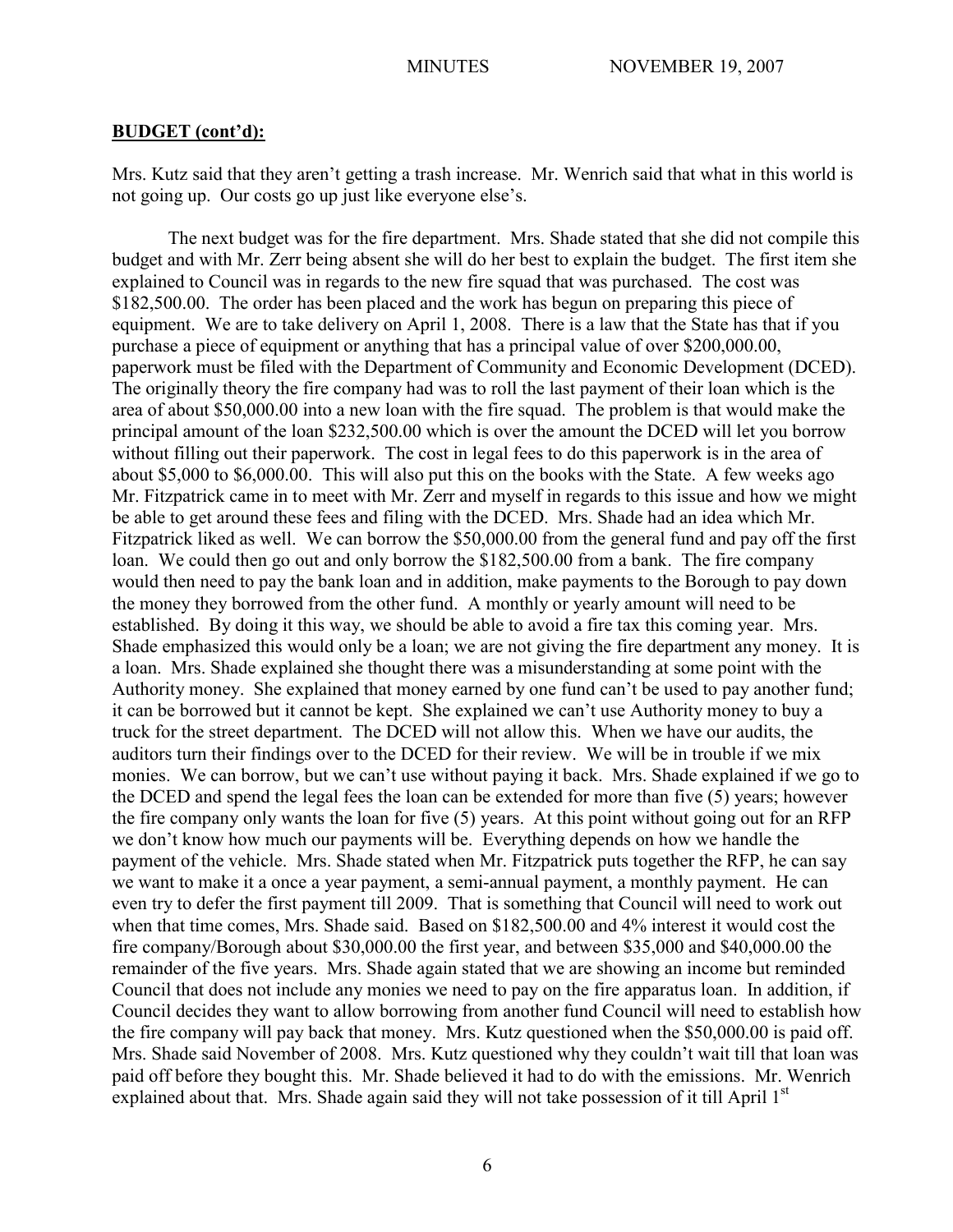Mrs. Kutz said that they aren't getting a trash increase. Mr. Wenrich said that what in this world is not going up. Our costs go up just like everyone else's.

The next budget was for the fire department. Mrs. Shade stated that she did not compile this budget and with Mr. Zerr being absent she will do her best to explain the budget. The first item she explained to Council was in regards to the new fire squad that was purchased. The cost was \$182,500.00. The order has been placed and the work has begun on preparing this piece of equipment. We are to take delivery on April 1, 2008. There is a law that the State has that if you purchase a piece of equipment or anything that has a principal value of over \$200,000.00, paperwork must be filed with the Department of Community and Economic Development (DCED). The originally theory the fire company had was to roll the last payment of their loan which is the area of about \$50,000.00 into a new loan with the fire squad. The problem is that would make the principal amount of the loan \$232,500.00 which is over the amount the DCED will let you borrow without filling out their paperwork. The cost in legal fees to do this paperwork is in the area of about \$5,000 to \$6,000.00. This will also put this on the books with the State. A few weeks ago Mr. Fitzpatrick came in to meet with Mr. Zerr and myself in regards to this issue and how we might be able to get around these fees and filing with the DCED. Mrs. Shade had an idea which Mr. Fitzpatrick liked as well. We can borrow the \$50,000.00 from the general fund and pay off the first loan. We could then go out and only borrow the \$182,500.00 from a bank. The fire company would then need to pay the bank loan and in addition, make payments to the Borough to pay down the money they borrowed from the other fund. A monthly or yearly amount will need to be established. By doing it this way, we should be able to avoid a fire tax this coming year. Mrs. Shade emphasized this would only be a loan; we are not giving the fire department any money. It is a loan. Mrs. Shade explained she thought there was a misunderstanding at some point with the Authority money. She explained that money earned by one fund can't be used to pay another fund; it can be borrowed but it cannot be kept. She explained we can't use Authority money to buy a truck for the street department. The DCED will not allow this. When we have our audits, the auditors turn their findings over to the DCED for their review. We will be in trouble if we mix monies. We can borrow, but we can't use without paying it back. Mrs. Shade explained if we go to the DCED and spend the legal fees the loan can be extended for more than five (5) years; however the fire company only wants the loan for five (5) years. At this point without going out for an RFP we don't know how much our payments will be. Everything depends on how we handle the payment of the vehicle. Mrs. Shade stated when Mr. Fitzpatrick puts together the RFP, he can say we want to make it a once a year payment, a semi-annual payment, a monthly payment. He can even try to defer the first payment till 2009. That is something that Council will need to work out when that time comes, Mrs. Shade said. Based on \$182,500.00 and 4% interest it would cost the fire company/Borough about \$30,000.00 the first year, and between \$35,000 and \$40,000.00 the remainder of the five years. Mrs. Shade again stated that we are showing an income but reminded Council that does not include any monies we need to pay on the fire apparatus loan. In addition, if Council decides they want to allow borrowing from another fund Council will need to establish how the fire company will pay back that money. Mrs. Kutz questioned when the \$50,000.00 is paid off. Mrs. Shade said November of 2008. Mrs. Kutz questioned why they couldn't wait till that loan was paid off before they bought this. Mr. Shade believed it had to do with the emissions. Mr. Wenrich explained about that. Mrs. Shade again said they will not take possession of it till April 1<sup>st</sup>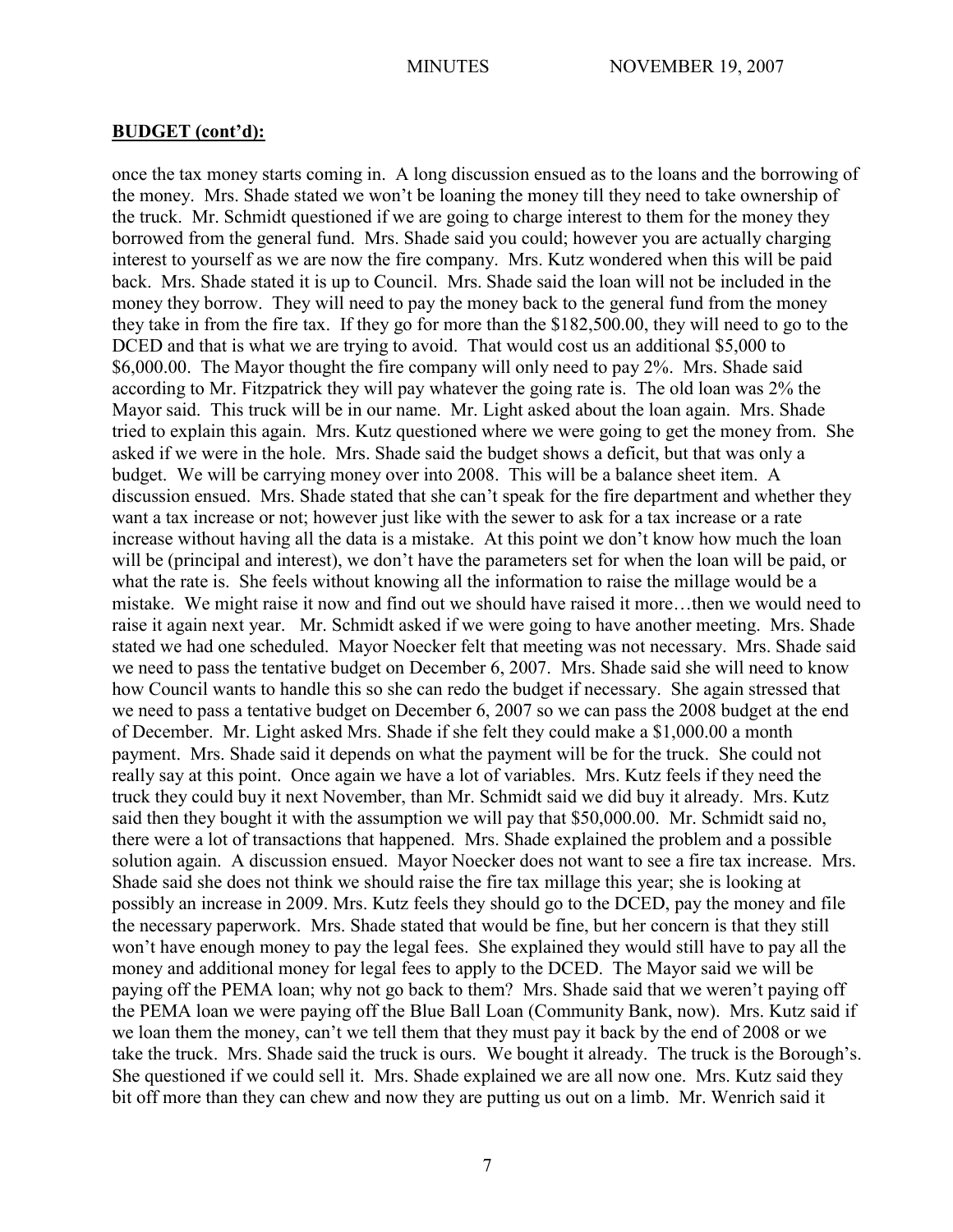once the tax money starts coming in. A long discussion ensued as to the loans and the borrowing of the money. Mrs. Shade stated we won't be loaning the money till they need to take ownership of the truck. Mr. Schmidt questioned if we are going to charge interest to them for the money they borrowed from the general fund. Mrs. Shade said you could; however you are actually charging interest to yourself as we are now the fire company. Mrs. Kutz wondered when this will be paid back. Mrs. Shade stated it is up to Council. Mrs. Shade said the loan will not be included in the money they borrow. They will need to pay the money back to the general fund from the money they take in from the fire tax. If they go for more than the \$182,500.00, they will need to go to the DCED and that is what we are trying to avoid. That would cost us an additional \$5,000 to \$6,000.00. The Mayor thought the fire company will only need to pay 2%. Mrs. Shade said according to Mr. Fitzpatrick they will pay whatever the going rate is. The old loan was 2% the Mayor said. This truck will be in our name. Mr. Light asked about the loan again. Mrs. Shade tried to explain this again. Mrs. Kutz questioned where we were going to get the money from. She asked if we were in the hole. Mrs. Shade said the budget shows a deficit, but that was only a budget. We will be carrying money over into 2008. This will be a balance sheet item. A discussion ensued. Mrs. Shade stated that she can't speak for the fire department and whether they want a tax increase or not; however just like with the sewer to ask for a tax increase or a rate increase without having all the data is a mistake. At this point we don't know how much the loan will be (principal and interest), we don't have the parameters set for when the loan will be paid, or what the rate is. She feels without knowing all the information to raise the millage would be a mistake. We might raise it now and find out we should have raised it more…then we would need to raise it again next year. Mr. Schmidt asked if we were going to have another meeting. Mrs. Shade stated we had one scheduled. Mayor Noecker felt that meeting was not necessary. Mrs. Shade said we need to pass the tentative budget on December 6, 2007. Mrs. Shade said she will need to know how Council wants to handle this so she can redo the budget if necessary. She again stressed that we need to pass a tentative budget on December 6, 2007 so we can pass the 2008 budget at the end of December. Mr. Light asked Mrs. Shade if she felt they could make a \$1,000.00 a month payment. Mrs. Shade said it depends on what the payment will be for the truck. She could not really say at this point. Once again we have a lot of variables. Mrs. Kutz feels if they need the truck they could buy it next November, than Mr. Schmidt said we did buy it already. Mrs. Kutz said then they bought it with the assumption we will pay that \$50,000.00. Mr. Schmidt said no, there were a lot of transactions that happened. Mrs. Shade explained the problem and a possible solution again. A discussion ensued. Mayor Noecker does not want to see a fire tax increase. Mrs. Shade said she does not think we should raise the fire tax millage this year; she is looking at possibly an increase in 2009. Mrs. Kutz feels they should go to the DCED, pay the money and file the necessary paperwork. Mrs. Shade stated that would be fine, but her concern is that they still won't have enough money to pay the legal fees. She explained they would still have to pay all the money and additional money for legal fees to apply to the DCED. The Mayor said we will be paying off the PEMA loan; why not go back to them? Mrs. Shade said that we weren't paying off the PEMA loan we were paying off the Blue Ball Loan (Community Bank, now). Mrs. Kutz said if we loan them the money, can't we tell them that they must pay it back by the end of 2008 or we take the truck. Mrs. Shade said the truck is ours. We bought it already. The truck is the Borough's. She questioned if we could sell it. Mrs. Shade explained we are all now one. Mrs. Kutz said they bit off more than they can chew and now they are putting us out on a limb. Mr. Wenrich said it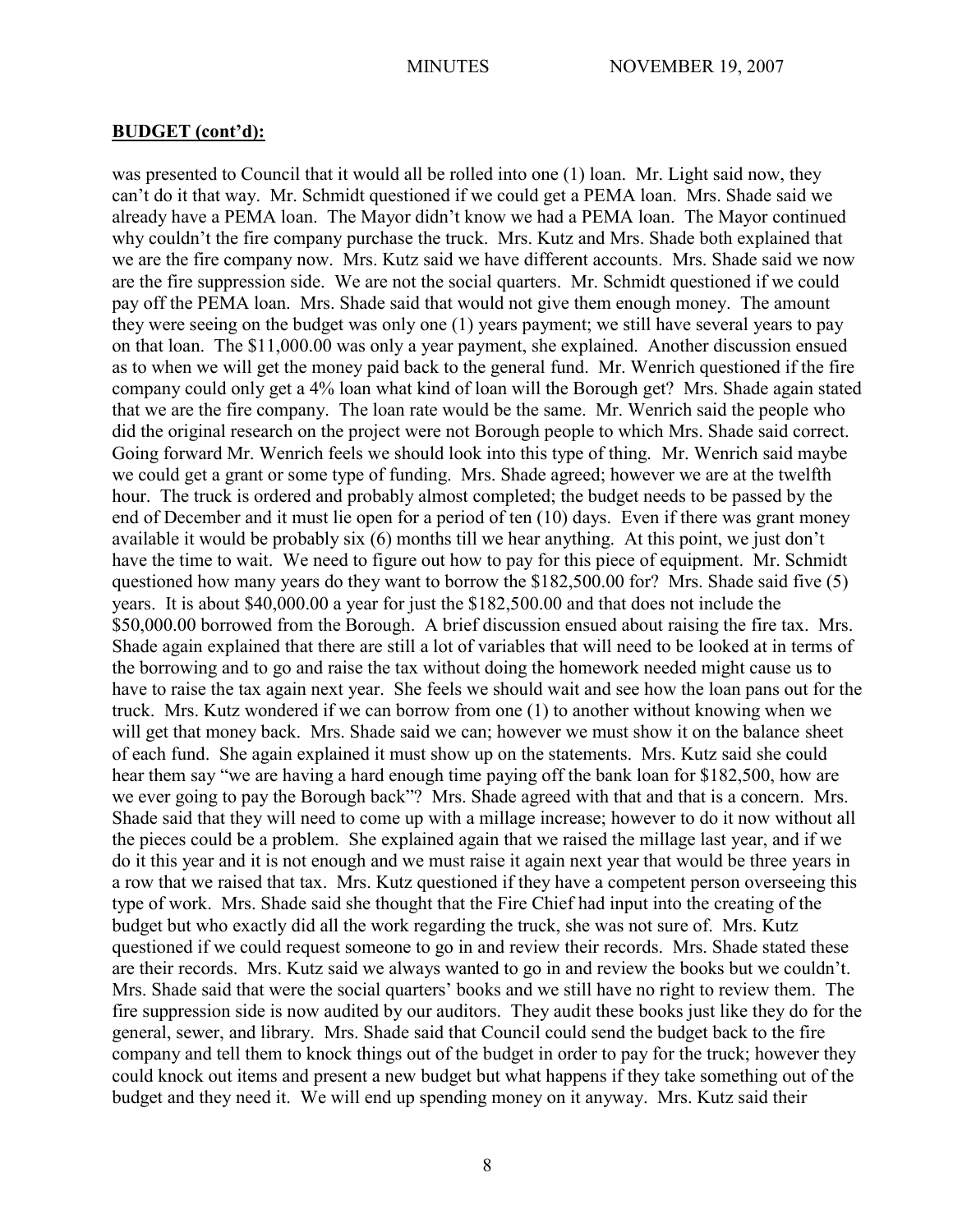was presented to Council that it would all be rolled into one (1) loan. Mr. Light said now, they can't do it that way. Mr. Schmidt questioned if we could get a PEMA loan. Mrs. Shade said we already have a PEMA loan. The Mayor didn't know we had a PEMA loan. The Mayor continued why couldn't the fire company purchase the truck. Mrs. Kutz and Mrs. Shade both explained that we are the fire company now. Mrs. Kutz said we have different accounts. Mrs. Shade said we now are the fire suppression side. We are not the social quarters. Mr. Schmidt questioned if we could pay off the PEMA loan. Mrs. Shade said that would not give them enough money. The amount they were seeing on the budget was only one (1) years payment; we still have several years to pay on that loan. The \$11,000.00 was only a year payment, she explained. Another discussion ensued as to when we will get the money paid back to the general fund. Mr. Wenrich questioned if the fire company could only get a 4% loan what kind of loan will the Borough get? Mrs. Shade again stated that we are the fire company. The loan rate would be the same. Mr. Wenrich said the people who did the original research on the project were not Borough people to which Mrs. Shade said correct. Going forward Mr. Wenrich feels we should look into this type of thing. Mr. Wenrich said maybe we could get a grant or some type of funding. Mrs. Shade agreed; however we are at the twelfth hour. The truck is ordered and probably almost completed; the budget needs to be passed by the end of December and it must lie open for a period of ten (10) days. Even if there was grant money available it would be probably six (6) months till we hear anything. At this point, we just don't have the time to wait. We need to figure out how to pay for this piece of equipment. Mr. Schmidt questioned how many years do they want to borrow the \$182,500.00 for? Mrs. Shade said five (5) years. It is about \$40,000.00 a year for just the \$182,500.00 and that does not include the \$50,000.00 borrowed from the Borough. A brief discussion ensued about raising the fire tax. Mrs. Shade again explained that there are still a lot of variables that will need to be looked at in terms of the borrowing and to go and raise the tax without doing the homework needed might cause us to have to raise the tax again next year. She feels we should wait and see how the loan pans out for the truck. Mrs. Kutz wondered if we can borrow from one (1) to another without knowing when we will get that money back. Mrs. Shade said we can; however we must show it on the balance sheet of each fund. She again explained it must show up on the statements. Mrs. Kutz said she could hear them say "we are having a hard enough time paying off the bank loan for \$182,500, how are we ever going to pay the Borough back"? Mrs. Shade agreed with that and that is a concern. Mrs. Shade said that they will need to come up with a millage increase; however to do it now without all the pieces could be a problem. She explained again that we raised the millage last year, and if we do it this year and it is not enough and we must raise it again next year that would be three years in a row that we raised that tax. Mrs. Kutz questioned if they have a competent person overseeing this type of work. Mrs. Shade said she thought that the Fire Chief had input into the creating of the budget but who exactly did all the work regarding the truck, she was not sure of. Mrs. Kutz questioned if we could request someone to go in and review their records. Mrs. Shade stated these are their records. Mrs. Kutz said we always wanted to go in and review the books but we couldn't. Mrs. Shade said that were the social quarters' books and we still have no right to review them. The fire suppression side is now audited by our auditors. They audit these books just like they do for the general, sewer, and library. Mrs. Shade said that Council could send the budget back to the fire company and tell them to knock things out of the budget in order to pay for the truck; however they could knock out items and present a new budget but what happens if they take something out of the budget and they need it. We will end up spending money on it anyway. Mrs. Kutz said their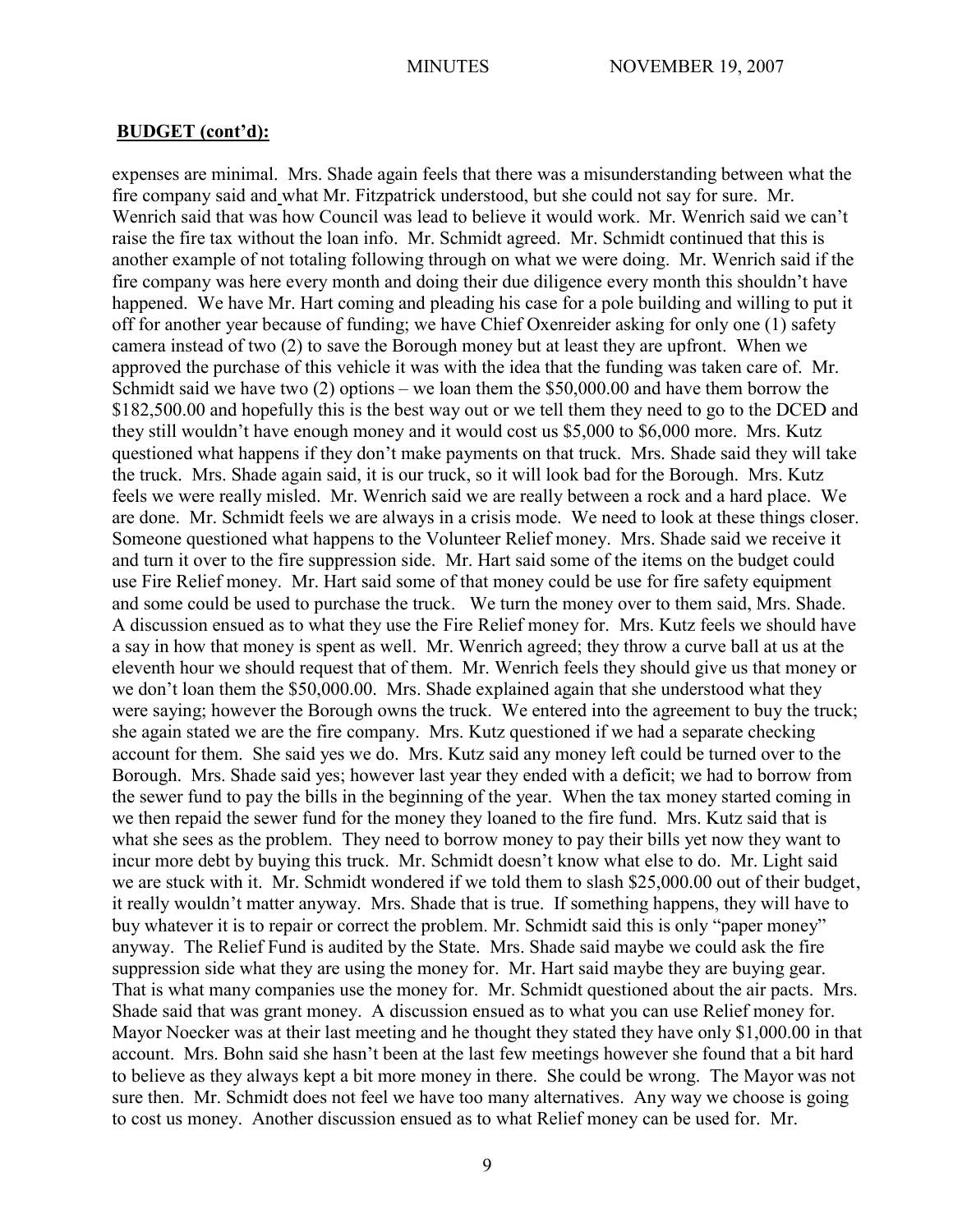expenses are minimal. Mrs. Shade again feels that there was a misunderstanding between what the fire company said and what Mr. Fitzpatrick understood, but she could not say for sure. Mr. Wenrich said that was how Council was lead to believe it would work. Mr. Wenrich said we can't raise the fire tax without the loan info. Mr. Schmidt agreed. Mr. Schmidt continued that this is another example of not totaling following through on what we were doing. Mr. Wenrich said if the fire company was here every month and doing their due diligence every month this shouldn't have happened. We have Mr. Hart coming and pleading his case for a pole building and willing to put it off for another year because of funding; we have Chief Oxenreider asking for only one (1) safety camera instead of two (2) to save the Borough money but at least they are upfront. When we approved the purchase of this vehicle it was with the idea that the funding was taken care of. Mr. Schmidt said we have two (2) options – we loan them the \$50,000.00 and have them borrow the \$182,500.00 and hopefully this is the best way out or we tell them they need to go to the DCED and they still wouldn't have enough money and it would cost us \$5,000 to \$6,000 more. Mrs. Kutz questioned what happens if they don't make payments on that truck. Mrs. Shade said they will take the truck. Mrs. Shade again said, it is our truck, so it will look bad for the Borough. Mrs. Kutz feels we were really misled. Mr. Wenrich said we are really between a rock and a hard place. We are done. Mr. Schmidt feels we are always in a crisis mode. We need to look at these things closer. Someone questioned what happens to the Volunteer Relief money. Mrs. Shade said we receive it and turn it over to the fire suppression side. Mr. Hart said some of the items on the budget could use Fire Relief money. Mr. Hart said some of that money could be use for fire safety equipment and some could be used to purchase the truck. We turn the money over to them said, Mrs. Shade. A discussion ensued as to what they use the Fire Relief money for. Mrs. Kutz feels we should have a say in how that money is spent as well. Mr. Wenrich agreed; they throw a curve ball at us at the eleventh hour we should request that of them. Mr. Wenrich feels they should give us that money or we don't loan them the \$50,000.00. Mrs. Shade explained again that she understood what they were saying; however the Borough owns the truck. We entered into the agreement to buy the truck; she again stated we are the fire company. Mrs. Kutz questioned if we had a separate checking account for them. She said yes we do. Mrs. Kutz said any money left could be turned over to the Borough. Mrs. Shade said yes; however last year they ended with a deficit; we had to borrow from the sewer fund to pay the bills in the beginning of the year. When the tax money started coming in we then repaid the sewer fund for the money they loaned to the fire fund. Mrs. Kutz said that is what she sees as the problem. They need to borrow money to pay their bills yet now they want to incur more debt by buying this truck. Mr. Schmidt doesn't know what else to do. Mr. Light said we are stuck with it. Mr. Schmidt wondered if we told them to slash \$25,000.00 out of their budget, it really wouldn't matter anyway. Mrs. Shade that is true. If something happens, they will have to buy whatever it is to repair or correct the problem. Mr. Schmidt said this is only "paper money" anyway. The Relief Fund is audited by the State. Mrs. Shade said maybe we could ask the fire suppression side what they are using the money for. Mr. Hart said maybe they are buying gear. That is what many companies use the money for. Mr. Schmidt questioned about the air pacts. Mrs. Shade said that was grant money. A discussion ensued as to what you can use Relief money for. Mayor Noecker was at their last meeting and he thought they stated they have only \$1,000.00 in that account. Mrs. Bohn said she hasn't been at the last few meetings however she found that a bit hard to believe as they always kept a bit more money in there. She could be wrong. The Mayor was not sure then. Mr. Schmidt does not feel we have too many alternatives. Any way we choose is going to cost us money. Another discussion ensued as to what Relief money can be used for. Mr.